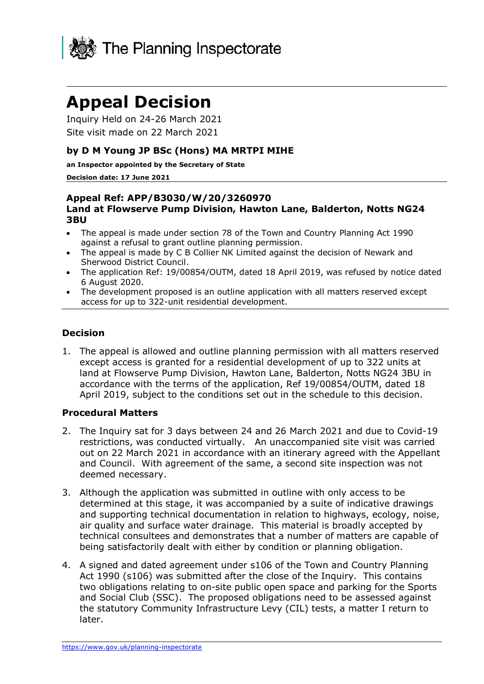

# **Appeal Decision**

Inquiry Held on 24-26 March 2021 Site visit made on 22 March 2021

#### **by D M Young JP BSc (Hons) MA MRTPI MIHE**

**an Inspector appointed by the Secretary of State**

#### **Decision date: 17 June 2021**

#### **Appeal Ref: APP/B3030/W/20/3260970 Land at Flowserve Pump Division, Hawton Lane, Balderton, Notts NG24 3BU**

- The appeal is made under section 78 of the Town and Country Planning Act 1990 against a refusal to grant outline planning permission.
- The appeal is made by C B Collier NK Limited against the decision of Newark and Sherwood District Council.
- The application Ref: 19/00854/OUTM, dated 18 April 2019, was refused by notice dated 6 August 2020.
- The development proposed is an outline application with all matters reserved except access for up to 322-unit residential development.

#### **Decision**

1. The appeal is allowed and outline planning permission with all matters reserved except access is granted for a residential development of up to 322 units at land at Flowserve Pump Division, Hawton Lane, Balderton, Notts NG24 3BU in accordance with the terms of the application, Ref 19/00854/OUTM, dated 18 April 2019, subject to the conditions set out in the schedule to this decision.

#### **Procedural Matters**

- 2. The Inquiry sat for 3 days between 24 and 26 March 2021 and due to Covid-19 restrictions, was conducted virtually. An unaccompanied site visit was carried out on 22 March 2021 in accordance with an itinerary agreed with the Appellant and Council. With agreement of the same, a second site inspection was not deemed necessary.
- 3. Although the application was submitted in outline with only access to be determined at this stage, it was accompanied by a suite of indicative drawings and supporting technical documentation in relation to highways, ecology, noise, air quality and surface water drainage. This material is broadly accepted by technical consultees and demonstrates that a number of matters are capable of being satisfactorily dealt with either by condition or planning obligation.
- 4. A signed and dated agreement under s106 of the Town and Country Planning Act 1990 (s106) was submitted after the close of the Inquiry. This contains two obligations relating to on-site public open space and parking for the Sports and Social Club (SSC). The proposed obligations need to be assessed against the statutory Community Infrastructure Levy (CIL) tests, a matter I return to later.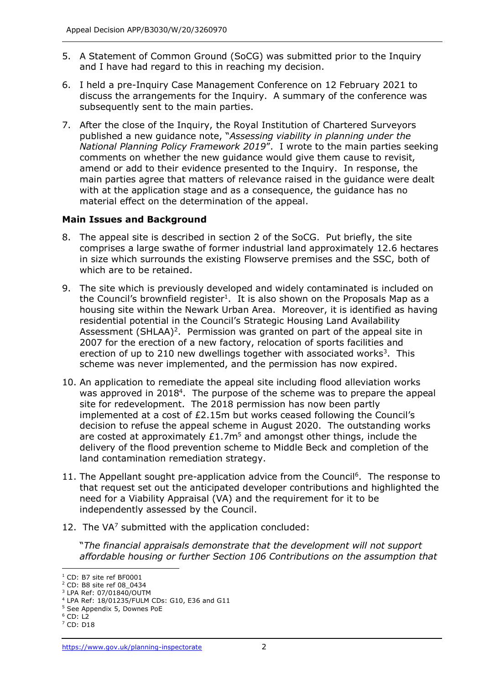- 5. A Statement of Common Ground (SoCG) was submitted prior to the Inquiry and I have had regard to this in reaching my decision.
- 6. I held a pre-Inquiry Case Management Conference on 12 February 2021 to discuss the arrangements for the Inquiry. A summary of the conference was subsequently sent to the main parties.
- 7. After the close of the Inquiry, the Royal Institution of Chartered Surveyors published a new guidance note, "*Assessing viability in planning under the National Planning Policy Framework 2019*". I wrote to the main parties seeking comments on whether the new guidance would give them cause to revisit, amend or add to their evidence presented to the Inquiry. In response, the main parties agree that matters of relevance raised in the guidance were dealt with at the application stage and as a consequence, the guidance has no material effect on the determination of the appeal.

# **Main Issues and Background**

- 8. The appeal site is described in section 2 of the SoCG. Put briefly, the site comprises a large swathe of former industrial land approximately 12.6 hectares in size which surrounds the existing Flowserve premises and the SSC, both of which are to be retained.
- 9. The site which is previously developed and widely contaminated is included on the Council's brownfield register<sup>1</sup>. It is also shown on the Proposals Map as a housing site within the Newark Urban Area. Moreover, it is identified as having residential potential in the Council's Strategic Housing Land Availability Assessment (SHLAA)<sup>2</sup>. Permission was granted on part of the appeal site in 2007 for the erection of a new factory, relocation of sports facilities and erection of up to 210 new dwellings together with associated works<sup>3</sup>. This scheme was never implemented, and the permission has now expired.
- 10. An application to remediate the appeal site including flood alleviation works was approved in 2018<sup>4</sup>. The purpose of the scheme was to prepare the appeal site for redevelopment. The 2018 permission has now been partly implemented at a cost of £2.15m but works ceased following the Council's decision to refuse the appeal scheme in August 2020. The outstanding works are costed at approximately  $£1.7m<sup>5</sup>$  and amongst other things, include the delivery of the flood prevention scheme to Middle Beck and completion of the land contamination remediation strategy.
- 11. The Appellant sought pre-application advice from the Council<sup>6</sup>. The response to that request set out the anticipated developer contributions and highlighted the need for a Viability Appraisal (VA) and the requirement for it to be independently assessed by the Council.
- 12. The  $VA<sup>7</sup>$  submitted with the application concluded:

"*The financial appraisals demonstrate that the development will not support affordable housing or further Section 106 Contributions on the assumption that* 

<sup>1</sup> CD: B7 site ref BF0001

<sup>2</sup> CD: B8 site ref 08\_0434

<sup>3</sup> LPA Ref: 07/01840/OUTM

<sup>4</sup> LPA Ref: 18/01235/FULM CDs: G10, E36 and G11

<sup>5</sup> See Appendix 5, Downes PoE

 $6$  CD: L2

<sup>7</sup> CD: D18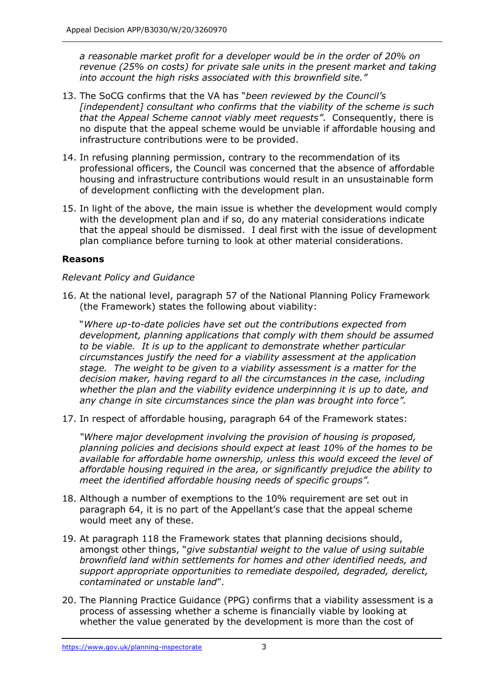*a reasonable market profit for a developer would be in the order of 20% on revenue (25% on costs) for private sale units in the present market and taking into account the high risks associated with this brownfield site."*

- 13. The SoCG confirms that the VA has "*been reviewed by the Council's [independent] consultant who confirms that the viability of the scheme is such that the Appeal Scheme cannot viably meet requests"*. Consequently, there is no dispute that the appeal scheme would be unviable if affordable housing and infrastructure contributions were to be provided.
- 14. In refusing planning permission, contrary to the recommendation of its professional officers, the Council was concerned that the absence of affordable housing and infrastructure contributions would result in an unsustainable form of development conflicting with the development plan.
- 15. In light of the above, the main issue is whether the development would comply with the development plan and if so, do any material considerations indicate that the appeal should be dismissed. I deal first with the issue of development plan compliance before turning to look at other material considerations.

# **Reasons**

#### *Relevant Policy and Guidance*

16. At the national level, paragraph 57 of the National Planning Policy Framework (the Framework) states the following about viability:

"*Where up-to-date policies have set out the contributions expected from development, planning applications that comply with them should be assumed to be viable. It is up to the applicant to demonstrate whether particular circumstances justify the need for a viability assessment at the application stage. The weight to be given to a viability assessment is a matter for the decision maker, having regard to all the circumstances in the case, including whether the plan and the viability evidence underpinning it is up to date, and any change in site circumstances since the plan was brought into force".*

17. In respect of affordable housing, paragraph 64 of the Framework states:

*"Where major development involving the provision of housing is proposed, planning policies and decisions should expect at least 10% of the homes to be available for affordable home ownership, unless this would exceed the level of affordable housing required in the area, or significantly prejudice the ability to meet the identified affordable housing needs of specific groups".*

- 18. Although a number of exemptions to the 10% requirement are set out in paragraph 64, it is no part of the Appellant's case that the appeal scheme would meet any of these.
- 19. At paragraph 118 the Framework states that planning decisions should, amongst other things, "*give substantial weight to the value of using suitable brownfield land within settlements for homes and other identified needs, and support appropriate opportunities to remediate despoiled, degraded, derelict, contaminated or unstable land*".
- 20. The Planning Practice Guidance (PPG) confirms that a viability assessment is a process of assessing whether a scheme is financially viable by looking at whether the value generated by the development is more than the cost of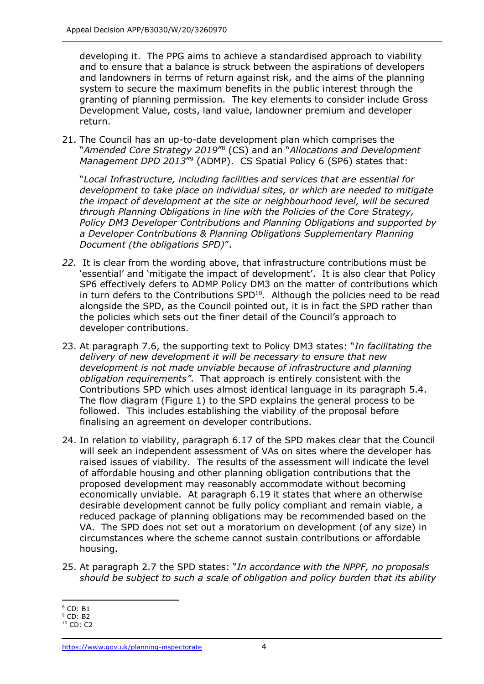developing it. The PPG aims to achieve a standardised approach to viability and to ensure that a balance is struck between the aspirations of developers and landowners in terms of return against risk, and the aims of the planning system to secure the maximum benefits in the public interest through the granting of planning permission. The key elements to consider include Gross Development Value, costs, land value, landowner premium and developer return.

21. The Council has an up-to-date development plan which comprises the "*Amended Core Strategy 2019*" 8 (CS) and an "*Allocations and Development*  Management DPD 2013<sup>"</sup><sup>9</sup> (ADMP). CS Spatial Policy 6 (SP6) states that:

"*Local Infrastructure, including facilities and services that are essential for development to take place on individual sites, or which are needed to mitigate the impact of development at the site or neighbourhood level, will be secured through Planning Obligations in line with the Policies of the Core Strategy, Policy DM3 Developer Contributions and Planning Obligations and supported by a Developer Contributions & Planning Obligations Supplementary Planning Document (the obligations SPD)*".

- *22.* It is clear from the wording above, that infrastructure contributions must be 'essential' and 'mitigate the impact of development'. It is also clear that Policy SP6 effectively defers to ADMP Policy DM3 on the matter of contributions which in turn defers to the Contributions  $SPD<sup>10</sup>$ . Although the policies need to be read alongside the SPD, as the Council pointed out, it is in fact the SPD rather than the policies which sets out the finer detail of the Council's approach to developer contributions.
- 23. At paragraph 7.6, the supporting text to Policy DM3 states: "*In facilitating the delivery of new development it will be necessary to ensure that new development is not made unviable because of infrastructure and planning obligation requirements"*. That approach is entirely consistent with the Contributions SPD which uses almost identical language in its paragraph 5.4. The flow diagram (Figure 1) to the SPD explains the general process to be followed. This includes establishing the viability of the proposal before finalising an agreement on developer contributions.
- 24. In relation to viability, paragraph 6.17 of the SPD makes clear that the Council will seek an independent assessment of VAs on sites where the developer has raised issues of viability. The results of the assessment will indicate the level of affordable housing and other planning obligation contributions that the proposed development may reasonably accommodate without becoming economically unviable. At paragraph 6.19 it states that where an otherwise desirable development cannot be fully policy compliant and remain viable, a reduced package of planning obligations may be recommended based on the VA. The SPD does not set out a moratorium on development (of any size) in circumstances where the scheme cannot sustain contributions or affordable housing.
- 25. At paragraph 2.7 the SPD states: "*In accordance with the NPPF, no proposals should be subject to such a scale of obligation and policy burden that its ability*

<sup>8</sup> CD: B1

 $9$  CD: B<sub>2</sub>

<sup>10</sup> CD: C2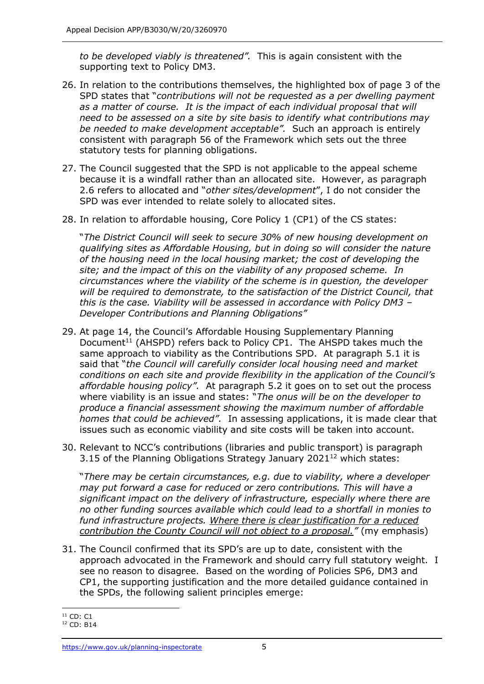*to be developed viably is threatened".* This is again consistent with the supporting text to Policy DM3.

- 26. In relation to the contributions themselves, the highlighted box of page 3 of the SPD states that "*contributions will not be requested as a per dwelling payment*  as a matter of course. It is the impact of each individual proposal that will *need to be assessed on a site by site basis to identify what contributions may be needed to make development acceptable".* Such an approach is entirely consistent with paragraph 56 of the Framework which sets out the three statutory tests for planning obligations.
- 27. The Council suggested that the SPD is not applicable to the appeal scheme because it is a windfall rather than an allocated site. However, as paragraph 2.6 refers to allocated and "*other sites/development*", I do not consider the SPD was ever intended to relate solely to allocated sites.
- 28. In relation to affordable housing, Core Policy 1 (CP1) of the CS states:

"*The District Council will seek to secure 30% of new housing development on qualifying sites as Affordable Housing, but in doing so will consider the nature of the housing need in the local housing market; the cost of developing the site; and the impact of this on the viability of any proposed scheme. In circumstances where the viability of the scheme is in question, the developer will be required to demonstrate, to the satisfaction of the District Council, that this is the case. Viability will be assessed in accordance with Policy DM3 – Developer Contributions and Planning Obligations"*

- 29. At page 14, the Council's Affordable Housing Supplementary Planning Document<sup>11</sup> (AHSPD) refers back to Policy CP1. The AHSPD takes much the same approach to viability as the Contributions SPD. At paragraph 5.1 it is said that "*the Council will carefully consider local housing need and market conditions on each site and provide flexibility in the application of the Council's affordable housing policy".* At paragraph 5.2 it goes on to set out the process where viability is an issue and states: "*The onus will be on the developer to produce a financial assessment showing the maximum number of affordable homes that could be achieved".* In assessing applications, it is made clear that issues such as economic viability and site costs will be taken into account.
- 30. Relevant to NCC's contributions (libraries and public transport) is paragraph 3.15 of the Planning Obligations Strategy January  $2021^{12}$  which states:

"*There may be certain circumstances, e.g. due to viability, where a developer may put forward a case for reduced or zero contributions. This will have a significant impact on the delivery of infrastructure, especially where there are no other funding sources available which could lead to a shortfall in monies to fund infrastructure projects. Where there is clear justification for a reduced contribution the County Council will not object to a proposal."* (my emphasis)

31. The Council confirmed that its SPD's are up to date, consistent with the approach advocated in the Framework and should carry full statutory weight. I see no reason to disagree. Based on the wording of Policies SP6, DM3 and CP1, the supporting justification and the more detailed guidance contained in the SPDs, the following salient principles emerge:

 $11$  CD: C1

<sup>12</sup> CD: B14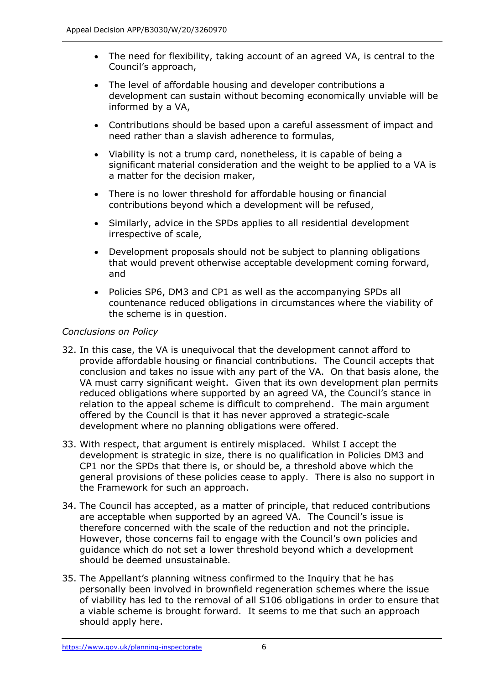- The need for flexibility, taking account of an agreed VA, is central to the Council's approach,
- The level of affordable housing and developer contributions a development can sustain without becoming economically unviable will be informed by a VA,
- Contributions should be based upon a careful assessment of impact and need rather than a slavish adherence to formulas,
- Viability is not a trump card, nonetheless, it is capable of being a significant material consideration and the weight to be applied to a VA is a matter for the decision maker,
- There is no lower threshold for affordable housing or financial contributions beyond which a development will be refused,
- Similarly, advice in the SPDs applies to all residential development irrespective of scale,
- Development proposals should not be subject to planning obligations that would prevent otherwise acceptable development coming forward, and
- Policies SP6, DM3 and CP1 as well as the accompanying SPDs all countenance reduced obligations in circumstances where the viability of the scheme is in question.

# *Conclusions on Policy*

- 32. In this case, the VA is unequivocal that the development cannot afford to provide affordable housing or financial contributions. The Council accepts that conclusion and takes no issue with any part of the VA. On that basis alone, the VA must carry significant weight. Given that its own development plan permits reduced obligations where supported by an agreed VA, the Council's stance in relation to the appeal scheme is difficult to comprehend. The main argument offered by the Council is that it has never approved a strategic-scale development where no planning obligations were offered.
- 33. With respect, that argument is entirely misplaced. Whilst I accept the development is strategic in size, there is no qualification in Policies DM3 and CP1 nor the SPDs that there is, or should be, a threshold above which the general provisions of these policies cease to apply. There is also no support in the Framework for such an approach.
- 34. The Council has accepted, as a matter of principle, that reduced contributions are acceptable when supported by an agreed VA. The Council's issue is therefore concerned with the scale of the reduction and not the principle. However, those concerns fail to engage with the Council's own policies and guidance which do not set a lower threshold beyond which a development should be deemed unsustainable.
- 35. The Appellant's planning witness confirmed to the Inquiry that he has personally been involved in brownfield regeneration schemes where the issue of viability has led to the removal of all S106 obligations in order to ensure that a viable scheme is brought forward. It seems to me that such an approach should apply here.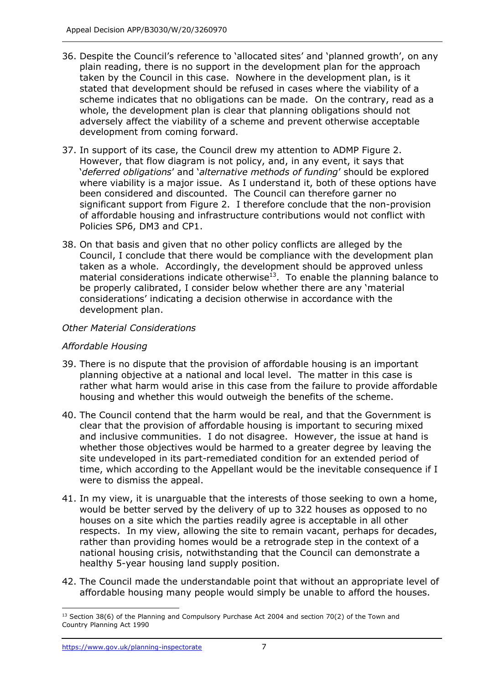- 36. Despite the Council's reference to 'allocated sites' and 'planned growth', on any plain reading, there is no support in the development plan for the approach taken by the Council in this case. Nowhere in the development plan, is it stated that development should be refused in cases where the viability of a scheme indicates that no obligations can be made. On the contrary, read as a whole, the development plan is clear that planning obligations should not adversely affect the viability of a scheme and prevent otherwise acceptable development from coming forward.
- 37. In support of its case, the Council drew my attention to ADMP Figure 2. However, that flow diagram is not policy, and, in any event, it says that '*deferred obligations*' and '*alternative methods of funding*' should be explored where viability is a major issue. As I understand it, both of these options have been considered and discounted. The Council can therefore garner no significant support from Figure 2. I therefore conclude that the non-provision of affordable housing and infrastructure contributions would not conflict with Policies SP6, DM3 and CP1.
- 38. On that basis and given that no other policy conflicts are alleged by the Council, I conclude that there would be compliance with the development plan taken as a whole. Accordingly, the development should be approved unless material considerations indicate otherwise $13$ . To enable the planning balance to be properly calibrated, I consider below whether there are any 'material considerations' indicating a decision otherwise in accordance with the development plan.

# *Other Material Considerations*

#### *Affordable Housing*

- 39. There is no dispute that the provision of affordable housing is an important planning objective at a national and local level. The matter in this case is rather what harm would arise in this case from the failure to provide affordable housing and whether this would outweigh the benefits of the scheme.
- 40. The Council contend that the harm would be real, and that the Government is clear that the provision of affordable housing is important to securing mixed and inclusive communities. I do not disagree. However, the issue at hand is whether those objectives would be harmed to a greater degree by leaving the site undeveloped in its part-remediated condition for an extended period of time, which according to the Appellant would be the inevitable consequence if I were to dismiss the appeal.
- 41. In my view, it is unarguable that the interests of those seeking to own a home, would be better served by the delivery of up to 322 houses as opposed to no houses on a site which the parties readily agree is acceptable in all other respects. In my view, allowing the site to remain vacant, perhaps for decades, rather than providing homes would be a retrograde step in the context of a national housing crisis, notwithstanding that the Council can demonstrate a healthy 5-year housing land supply position.
- 42. The Council made the understandable point that without an appropriate level of affordable housing many people would simply be unable to afford the houses.

 $13$  Section 38(6) of the Planning and Compulsory Purchase Act 2004 and section 70(2) of the Town and Country Planning Act 1990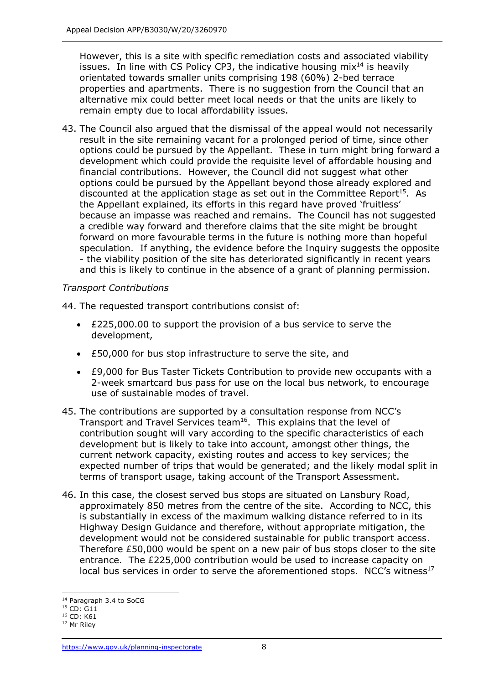However, this is a site with specific remediation costs and associated viability issues. In line with CS Policy CP3, the indicative housing  $mix<sup>14</sup>$  is heavily orientated towards smaller units comprising 198 (60%) 2-bed terrace properties and apartments. There is no suggestion from the Council that an alternative mix could better meet local needs or that the units are likely to remain empty due to local affordability issues.

43. The Council also argued that the dismissal of the appeal would not necessarily result in the site remaining vacant for a prolonged period of time, since other options could be pursued by the Appellant. These in turn might bring forward a development which could provide the requisite level of affordable housing and financial contributions. However, the Council did not suggest what other options could be pursued by the Appellant beyond those already explored and discounted at the application stage as set out in the Committee Report<sup>15</sup>. As the Appellant explained, its efforts in this regard have proved 'fruitless' because an impasse was reached and remains. The Council has not suggested a credible way forward and therefore claims that the site might be brought forward on more favourable terms in the future is nothing more than hopeful speculation. If anything, the evidence before the Inquiry suggests the opposite - the viability position of the site has deteriorated significantly in recent years and this is likely to continue in the absence of a grant of planning permission.

#### *Transport Contributions*

44. The requested transport contributions consist of:

- £225,000.00 to support the provision of a bus service to serve the development,
- £50,000 for bus stop infrastructure to serve the site, and
- £9,000 for Bus Taster Tickets Contribution to provide new occupants with a 2-week smartcard bus pass for use on the local bus network, to encourage use of sustainable modes of travel.
- 45. The contributions are supported by a consultation response from NCC's Transport and Travel Services team<sup>16</sup>. This explains that the level of contribution sought will vary according to the specific characteristics of each development but is likely to take into account, amongst other things, the current network capacity, existing routes and access to key services; the expected number of trips that would be generated; and the likely modal split in terms of transport usage, taking account of the Transport Assessment.
- 46. In this case, the closest served bus stops are situated on Lansbury Road, approximately 850 metres from the centre of the site. According to NCC, this is substantially in excess of the maximum walking distance referred to in its Highway Design Guidance and therefore, without appropriate mitigation, the development would not be considered sustainable for public transport access. Therefore £50,000 would be spent on a new pair of bus stops closer to the site entrance. The £225,000 contribution would be used to increase capacity on local bus services in order to serve the aforementioned stops. NCC's witness<sup>17</sup>

<sup>&</sup>lt;sup>14</sup> Paragraph 3.4 to SoCG

<sup>&</sup>lt;sup>15</sup> CD: G11

<sup>16</sup> CD: K61

<sup>&</sup>lt;sup>17</sup> Mr Riley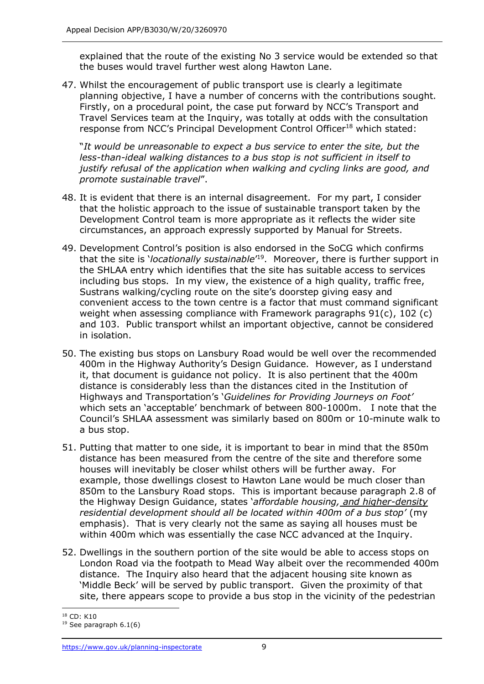explained that the route of the existing No 3 service would be extended so that the buses would travel further west along Hawton Lane.

47. Whilst the encouragement of public transport use is clearly a legitimate planning objective, I have a number of concerns with the contributions sought. Firstly, on a procedural point, the case put forward by NCC's Transport and Travel Services team at the Inquiry, was totally at odds with the consultation response from NCC's Principal Development Control Officer<sup>18</sup> which stated:

"*It would be unreasonable to expect a bus service to enter the site, but the less-than-ideal walking distances to a bus stop is not sufficient in itself to justify refusal of the application when walking and cycling links are good, and promote sustainable travel*".

- 48. It is evident that there is an internal disagreement. For my part, I consider that the holistic approach to the issue of sustainable transport taken by the Development Control team is more appropriate as it reflects the wider site circumstances, an approach expressly supported by Manual for Streets.
- 49. Development Control's position is also endorsed in the SoCG which confirms that the site is '*locationally sustainable*' 19 . Moreover, there is further support in the SHLAA entry which identifies that the site has suitable access to services including bus stops. In my view, the existence of a high quality, traffic free, Sustrans walking/cycling route on the site's doorstep giving easy and convenient access to the town centre is a factor that must command significant weight when assessing compliance with Framework paragraphs 91(c), 102 (c) and 103. Public transport whilst an important objective, cannot be considered in isolation.
- 50. The existing bus stops on Lansbury Road would be well over the recommended 400m in the Highway Authority's Design Guidance. However, as I understand it, that document is guidance not policy. It is also pertinent that the 400m distance is considerably less than the distances cited in the Institution of Highways and Transportation's '*Guidelines for Providing Journeys on Foot'*  which sets an 'acceptable' benchmark of between 800-1000m. I note that the Council's SHLAA assessment was similarly based on 800m or 10-minute walk to a bus stop.
- 51. Putting that matter to one side, it is important to bear in mind that the 850m distance has been measured from the centre of the site and therefore some houses will inevitably be closer whilst others will be further away. For example, those dwellings closest to Hawton Lane would be much closer than 850m to the Lansbury Road stops. This is important because paragraph 2.8 of the Highway Design Guidance, states '*affordable housing, and higher-density residential development should all be located within 400m of a bus stop'* (my emphasis). That is very clearly not the same as saying all houses must be within 400m which was essentially the case NCC advanced at the Inquiry.
- 52. Dwellings in the southern portion of the site would be able to access stops on London Road via the footpath to Mead Way albeit over the recommended 400m distance. The Inquiry also heard that the adjacent housing site known as 'Middle Beck' will be served by public transport. Given the proximity of that site, there appears scope to provide a bus stop in the vicinity of the pedestrian

 $18$  CD: K10

 $19$  See paragraph 6.1(6)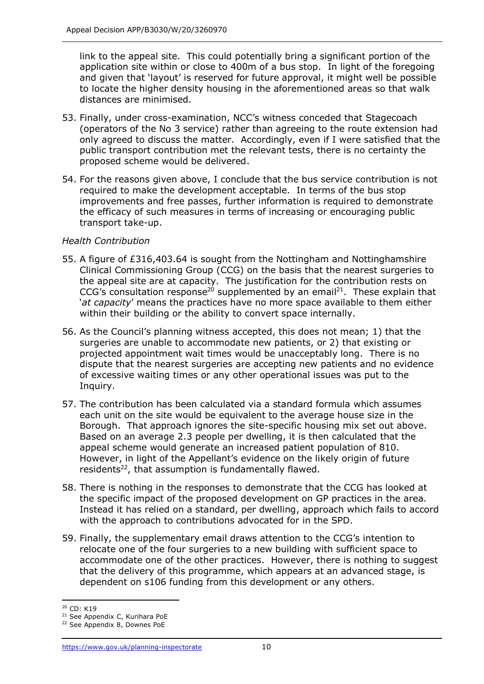link to the appeal site. This could potentially bring a significant portion of the application site within or close to 400m of a bus stop. In light of the foregoing and given that 'layout' is reserved for future approval, it might well be possible to locate the higher density housing in the aforementioned areas so that walk distances are minimised.

- 53. Finally, under cross-examination, NCC's witness conceded that Stagecoach (operators of the No 3 service) rather than agreeing to the route extension had only agreed to discuss the matter. Accordingly, even if I were satisfied that the public transport contribution met the relevant tests, there is no certainty the proposed scheme would be delivered.
- 54. For the reasons given above, I conclude that the bus service contribution is not required to make the development acceptable. In terms of the bus stop improvements and free passes, further information is required to demonstrate the efficacy of such measures in terms of increasing or encouraging public transport take-up.

#### *Health Contribution*

- 55. A figure of £316,403.64 is sought from the Nottingham and Nottinghamshire Clinical Commissioning Group (CCG) on the basis that the nearest surgeries to the appeal site are at capacity. The justification for the contribution rests on CCG's consultation response<sup>20</sup> supplemented by an email<sup>21</sup>. These explain that '*at capacity*' means the practices have no more space available to them either within their building or the ability to convert space internally.
- 56. As the Council's planning witness accepted, this does not mean; 1) that the surgeries are unable to accommodate new patients, or 2) that existing or projected appointment wait times would be unacceptably long. There is no dispute that the nearest surgeries are accepting new patients and no evidence of excessive waiting times or any other operational issues was put to the Inquiry.
- 57. The contribution has been calculated via a standard formula which assumes each unit on the site would be equivalent to the average house size in the Borough. That approach ignores the site-specific housing mix set out above. Based on an average 2.3 people per dwelling, it is then calculated that the appeal scheme would generate an increased patient population of 810. However, in light of the Appellant's evidence on the likely origin of future residents $^{22}$ , that assumption is fundamentally flawed.
- 58. There is nothing in the responses to demonstrate that the CCG has looked at the specific impact of the proposed development on GP practices in the area. Instead it has relied on a standard, per dwelling, approach which fails to accord with the approach to contributions advocated for in the SPD.
- 59. Finally, the supplementary email draws attention to the CCG's intention to relocate one of the four surgeries to a new building with sufficient space to accommodate one of the other practices. However, there is nothing to suggest that the delivery of this programme, which appears at an advanced stage, is dependent on s106 funding from this development or any others.

<sup>&</sup>lt;sup>20</sup> CD: K19

<sup>&</sup>lt;sup>21</sup> See Appendix C, Kurihara PoE

<sup>22</sup> See Appendix 8, Downes PoE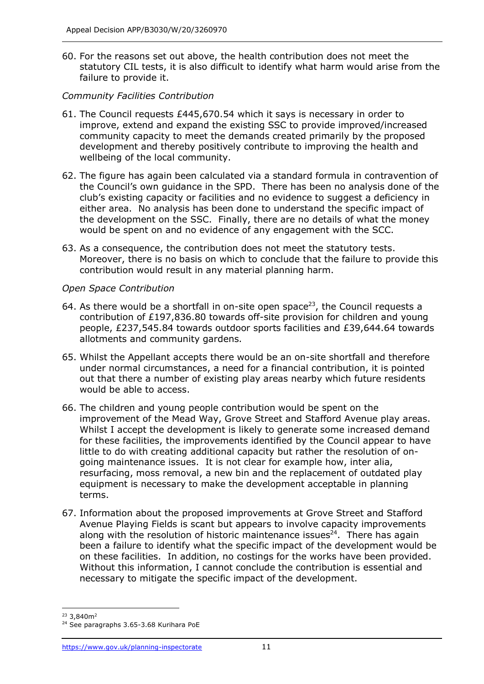60. For the reasons set out above, the health contribution does not meet the statutory CIL tests, it is also difficult to identify what harm would arise from the failure to provide it.

#### *Community Facilities Contribution*

- 61. The Council requests £445,670.54 which it says is necessary in order to improve, extend and expand the existing SSC to provide improved/increased community capacity to meet the demands created primarily by the proposed development and thereby positively contribute to improving the health and wellbeing of the local community.
- 62. The figure has again been calculated via a standard formula in contravention of the Council's own guidance in the SPD. There has been no analysis done of the club's existing capacity or facilities and no evidence to suggest a deficiency in either area. No analysis has been done to understand the specific impact of the development on the SSC. Finally, there are no details of what the money would be spent on and no evidence of any engagement with the SCC.
- 63. As a consequence, the contribution does not meet the statutory tests. Moreover, there is no basis on which to conclude that the failure to provide this contribution would result in any material planning harm.

#### *Open Space Contribution*

- 64. As there would be a shortfall in on-site open space<sup>23</sup>, the Council requests a contribution of £197,836.80 towards off-site provision for children and young people, £237,545.84 towards outdoor sports facilities and £39,644.64 towards allotments and community gardens.
- 65. Whilst the Appellant accepts there would be an on-site shortfall and therefore under normal circumstances, a need for a financial contribution, it is pointed out that there a number of existing play areas nearby which future residents would be able to access.
- 66. The children and young people contribution would be spent on the improvement of the Mead Way, Grove Street and Stafford Avenue play areas. Whilst I accept the development is likely to generate some increased demand for these facilities, the improvements identified by the Council appear to have little to do with creating additional capacity but rather the resolution of ongoing maintenance issues. It is not clear for example how, inter alia, resurfacing, moss removal, a new bin and the replacement of outdated play equipment is necessary to make the development acceptable in planning terms.
- 67. Information about the proposed improvements at Grove Street and Stafford Avenue Playing Fields is scant but appears to involve capacity improvements along with the resolution of historic maintenance issues $24$ . There has again been a failure to identify what the specific impact of the development would be on these facilities. In addition, no costings for the works have been provided. Without this information, I cannot conclude the contribution is essential and necessary to mitigate the specific impact of the development.

 $23 \times 840$  m<sup>2</sup>

<sup>&</sup>lt;sup>24</sup> See paragraphs 3.65-3.68 Kurihara PoE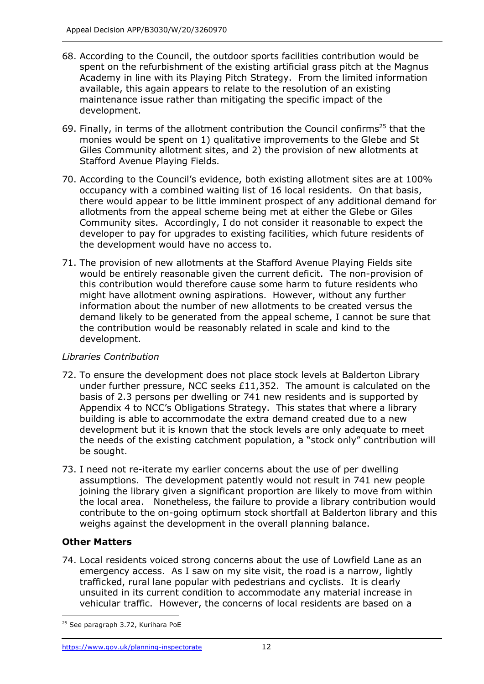- 68. According to the Council, the outdoor sports facilities contribution would be spent on the refurbishment of the existing artificial grass pitch at the Magnus Academy in line with its Playing Pitch Strategy. From the limited information available, this again appears to relate to the resolution of an existing maintenance issue rather than mitigating the specific impact of the development.
- 69. Finally, in terms of the allotment contribution the Council confirms<sup>25</sup> that the monies would be spent on 1) qualitative improvements to the Glebe and St Giles Community allotment sites, and 2) the provision of new allotments at Stafford Avenue Playing Fields.
- 70. According to the Council's evidence, both existing allotment sites are at 100% occupancy with a combined waiting list of 16 local residents. On that basis, there would appear to be little imminent prospect of any additional demand for allotments from the appeal scheme being met at either the Glebe or Giles Community sites. Accordingly, I do not consider it reasonable to expect the developer to pay for upgrades to existing facilities, which future residents of the development would have no access to.
- 71. The provision of new allotments at the Stafford Avenue Playing Fields site would be entirely reasonable given the current deficit. The non-provision of this contribution would therefore cause some harm to future residents who might have allotment owning aspirations. However, without any further information about the number of new allotments to be created versus the demand likely to be generated from the appeal scheme, I cannot be sure that the contribution would be reasonably related in scale and kind to the development.

#### *Libraries Contribution*

- 72. To ensure the development does not place stock levels at Balderton Library under further pressure, NCC seeks £11,352. The amount is calculated on the basis of 2.3 persons per dwelling or 741 new residents and is supported by Appendix 4 to NCC's Obligations Strategy. This states that where a library building is able to accommodate the extra demand created due to a new development but it is known that the stock levels are only adequate to meet the needs of the existing catchment population, a "stock only" contribution will be sought.
- 73. I need not re-iterate my earlier concerns about the use of per dwelling assumptions. The development patently would not result in 741 new people joining the library given a significant proportion are likely to move from within the local area. Nonetheless, the failure to provide a library contribution would contribute to the on-going optimum stock shortfall at Balderton library and this weighs against the development in the overall planning balance.

# **Other Matters**

74. Local residents voiced strong concerns about the use of Lowfield Lane as an emergency access. As I saw on my site visit, the road is a narrow, lightly trafficked, rural lane popular with pedestrians and cyclists. It is clearly unsuited in its current condition to accommodate any material increase in vehicular traffic. However, the concerns of local residents are based on a

<sup>&</sup>lt;sup>25</sup> See paragraph 3.72, Kurihara PoE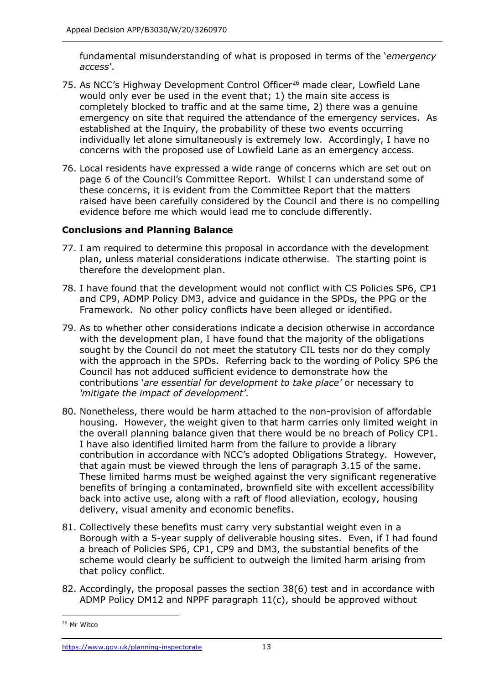fundamental misunderstanding of what is proposed in terms of the '*emergency access*'.

- 75. As NCC's Highway Development Control Officer<sup>26</sup> made clear, Lowfield Lane would only ever be used in the event that; 1) the main site access is completely blocked to traffic and at the same time, 2) there was a genuine emergency on site that required the attendance of the emergency services. As established at the Inquiry, the probability of these two events occurring individually let alone simultaneously is extremely low. Accordingly, I have no concerns with the proposed use of Lowfield Lane as an emergency access.
- 76. Local residents have expressed a wide range of concerns which are set out on page 6 of the Council's Committee Report. Whilst I can understand some of these concerns, it is evident from the Committee Report that the matters raised have been carefully considered by the Council and there is no compelling evidence before me which would lead me to conclude differently.

# **Conclusions and Planning Balance**

- 77. I am required to determine this proposal in accordance with the development plan, unless material considerations indicate otherwise. The starting point is therefore the development plan.
- 78. I have found that the development would not conflict with CS Policies SP6, CP1 and CP9, ADMP Policy DM3, advice and guidance in the SPDs, the PPG or the Framework. No other policy conflicts have been alleged or identified.
- 79. As to whether other considerations indicate a decision otherwise in accordance with the development plan, I have found that the majority of the obligations sought by the Council do not meet the statutory CIL tests nor do they comply with the approach in the SPDs. Referring back to the wording of Policy SP6 the Council has not adduced sufficient evidence to demonstrate how the contributions '*are essential for development to take place'* or necessary to *'mitigate the impact of development'*.
- 80. Nonetheless, there would be harm attached to the non-provision of affordable housing. However, the weight given to that harm carries only limited weight in the overall planning balance given that there would be no breach of Policy CP1. I have also identified limited harm from the failure to provide a library contribution in accordance with NCC's adopted Obligations Strategy. However, that again must be viewed through the lens of paragraph 3.15 of the same. These limited harms must be weighed against the very significant regenerative benefits of bringing a contaminated, brownfield site with excellent accessibility back into active use, along with a raft of flood alleviation, ecology, housing delivery, visual amenity and economic benefits.
- 81. Collectively these benefits must carry very substantial weight even in a Borough with a 5-year supply of deliverable housing sites. Even, if I had found a breach of Policies SP6, CP1, CP9 and DM3, the substantial benefits of the scheme would clearly be sufficient to outweigh the limited harm arising from that policy conflict.
- 82. Accordingly, the proposal passes the section 38(6) test and in accordance with ADMP Policy DM12 and NPPF paragraph 11(c), should be approved without

<sup>26</sup> Mr Witco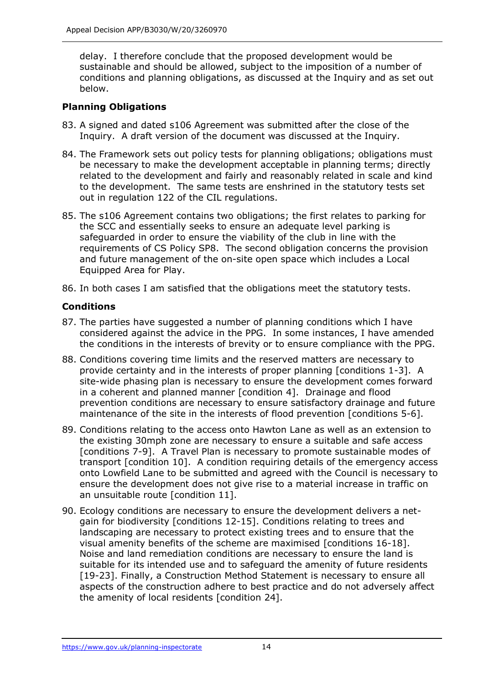delay. I therefore conclude that the proposed development would be sustainable and should be allowed, subject to the imposition of a number of conditions and planning obligations, as discussed at the Inquiry and as set out below.

# **Planning Obligations**

- 83. A signed and dated s106 Agreement was submitted after the close of the Inquiry. A draft version of the document was discussed at the Inquiry.
- 84. The Framework sets out policy tests for planning obligations; obligations must be necessary to make the development acceptable in planning terms; directly related to the development and fairly and reasonably related in scale and kind to the development. The same tests are enshrined in the statutory tests set out in regulation 122 of the CIL regulations.
- 85. The s106 Agreement contains two obligations; the first relates to parking for the SCC and essentially seeks to ensure an adequate level parking is safeguarded in order to ensure the viability of the club in line with the requirements of CS Policy SP8. The second obligation concerns the provision and future management of the on-site open space which includes a Local Equipped Area for Play.
- 86. In both cases I am satisfied that the obligations meet the statutory tests.

# **Conditions**

- 87. The parties have suggested a number of planning conditions which I have considered against the advice in the PPG. In some instances, I have amended the conditions in the interests of brevity or to ensure compliance with the PPG.
- 88. Conditions covering time limits and the reserved matters are necessary to provide certainty and in the interests of proper planning [conditions 1-3]. A site-wide phasing plan is necessary to ensure the development comes forward in a coherent and planned manner [condition 4]. Drainage and flood prevention conditions are necessary to ensure satisfactory drainage and future maintenance of the site in the interests of flood prevention [conditions 5-6].
- 89. Conditions relating to the access onto Hawton Lane as well as an extension to the existing 30mph zone are necessary to ensure a suitable and safe access [conditions 7-9]. A Travel Plan is necessary to promote sustainable modes of transport [condition 10]. A condition requiring details of the emergency access onto Lowfield Lane to be submitted and agreed with the Council is necessary to ensure the development does not give rise to a material increase in traffic on an unsuitable route [condition 11].
- 90. Ecology conditions are necessary to ensure the development delivers a netgain for biodiversity [conditions 12-15]. Conditions relating to trees and landscaping are necessary to protect existing trees and to ensure that the visual amenity benefits of the scheme are maximised [conditions 16-18]. Noise and land remediation conditions are necessary to ensure the land is suitable for its intended use and to safeguard the amenity of future residents [19-23]. Finally, a Construction Method Statement is necessary to ensure all aspects of the construction adhere to best practice and do not adversely affect the amenity of local residents [condition 24].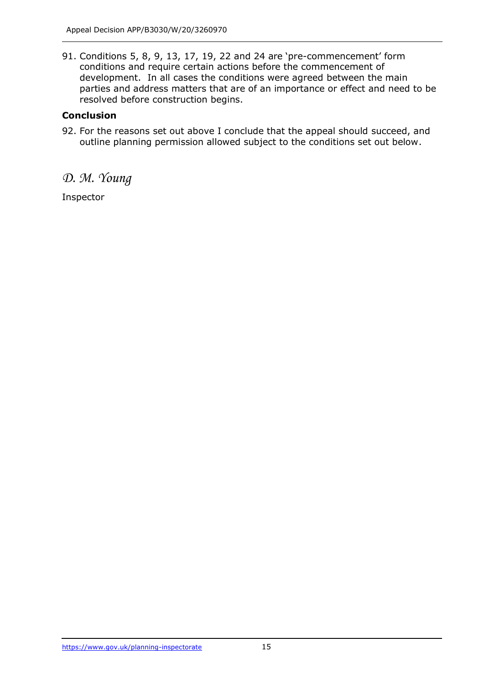91. Conditions 5, 8, 9, 13, 17, 19, 22 and 24 are 'pre-commencement' form conditions and require certain actions before the commencement of development. In all cases the conditions were agreed between the main parties and address matters that are of an importance or effect and need to be resolved before construction begins.

#### **Conclusion**

92. For the reasons set out above I conclude that the appeal should succeed, and outline planning permission allowed subject to the conditions set out below.

# *D. M. Young*

Inspector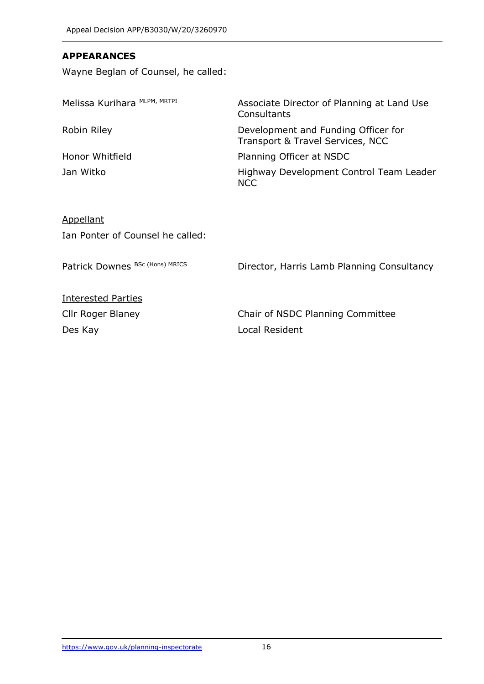#### **APPEARANCES**

Wayne Beglan of Counsel, he called:

| Associate Director of Planning at Land Use<br>Consultants               |
|-------------------------------------------------------------------------|
| Development and Funding Officer for<br>Transport & Travel Services, NCC |
| Planning Officer at NSDC                                                |
| Highway Development Control Team Leader<br><b>NCC</b>                   |
|                                                                         |

# **Appellant** Ian Ponter of Counsel he called:

| Director, Harris Lamb Planning Consultancy |
|--------------------------------------------|
|                                            |
| Chair of NSDC Planning Committee           |
| Local Resident                             |
|                                            |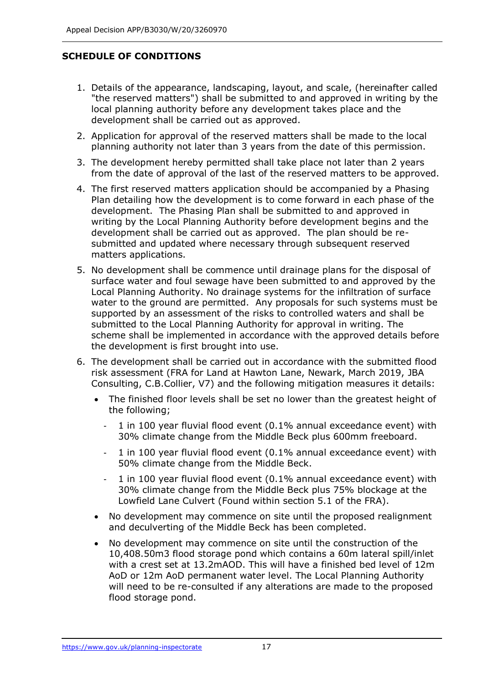# **SCHEDULE OF CONDITIONS**

- 1. Details of the appearance, landscaping, layout, and scale, (hereinafter called "the reserved matters") shall be submitted to and approved in writing by the local planning authority before any development takes place and the development shall be carried out as approved.
- 2. Application for approval of the reserved matters shall be made to the local planning authority not later than 3 years from the date of this permission.
- 3. The development hereby permitted shall take place not later than 2 years from the date of approval of the last of the reserved matters to be approved.
- 4. The first reserved matters application should be accompanied by a Phasing Plan detailing how the development is to come forward in each phase of the development. The Phasing Plan shall be submitted to and approved in writing by the Local Planning Authority before development begins and the development shall be carried out as approved. The plan should be resubmitted and updated where necessary through subsequent reserved matters applications.
- 5. No development shall be commence until drainage plans for the disposal of surface water and foul sewage have been submitted to and approved by the Local Planning Authority. No drainage systems for the infiltration of surface water to the ground are permitted. Any proposals for such systems must be supported by an assessment of the risks to controlled waters and shall be submitted to the Local Planning Authority for approval in writing. The scheme shall be implemented in accordance with the approved details before the development is first brought into use.
- 6. The development shall be carried out in accordance with the submitted flood risk assessment (FRA for Land at Hawton Lane, Newark, March 2019, JBA Consulting, C.B.Collier, V7) and the following mitigation measures it details:
	- The finished floor levels shall be set no lower than the greatest height of the following;
		- 1 in 100 year fluvial flood event (0.1% annual exceedance event) with 30% climate change from the Middle Beck plus 600mm freeboard.
		- 1 in 100 year fluvial flood event (0.1% annual exceedance event) with 50% climate change from the Middle Beck.
		- 1 in 100 year fluvial flood event (0.1% annual exceedance event) with 30% climate change from the Middle Beck plus 75% blockage at the Lowfield Lane Culvert (Found within section 5.1 of the FRA).
	- No development may commence on site until the proposed realignment and deculverting of the Middle Beck has been completed.
	- No development may commence on site until the construction of the 10,408.50m3 flood storage pond which contains a 60m lateral spill/inlet with a crest set at 13.2mAOD. This will have a finished bed level of 12m AoD or 12m AoD permanent water level. The Local Planning Authority will need to be re-consulted if any alterations are made to the proposed flood storage pond.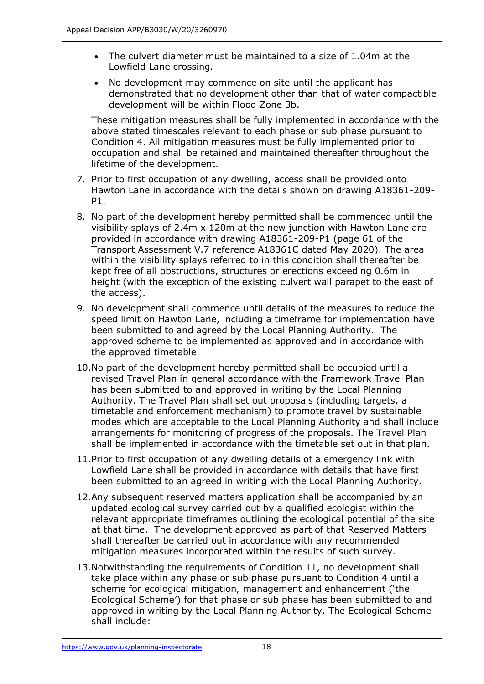- The culvert diameter must be maintained to a size of 1.04m at the Lowfield Lane crossing.
- No development may commence on site until the applicant has demonstrated that no development other than that of water compactible development will be within Flood Zone 3b.

These mitigation measures shall be fully implemented in accordance with the above stated timescales relevant to each phase or sub phase pursuant to Condition 4. All mitigation measures must be fully implemented prior to occupation and shall be retained and maintained thereafter throughout the lifetime of the development.

- 7. Prior to first occupation of any dwelling, access shall be provided onto Hawton Lane in accordance with the details shown on drawing A18361-209- P1.
- 8. No part of the development hereby permitted shall be commenced until the visibility splays of 2.4m x 120m at the new junction with Hawton Lane are provided in accordance with drawing A18361-209-P1 (page 61 of the Transport Assessment V.7 reference A18361C dated May 2020). The area within the visibility splays referred to in this condition shall thereafter be kept free of all obstructions, structures or erections exceeding 0.6m in height (with the exception of the existing culvert wall parapet to the east of the access).
- 9. No development shall commence until details of the measures to reduce the speed limit on Hawton Lane, including a timeframe for implementation have been submitted to and agreed by the Local Planning Authority. The approved scheme to be implemented as approved and in accordance with the approved timetable.
- 10.No part of the development hereby permitted shall be occupied until a revised Travel Plan in general accordance with the Framework Travel Plan has been submitted to and approved in writing by the Local Planning Authority. The Travel Plan shall set out proposals (including targets, a timetable and enforcement mechanism) to promote travel by sustainable modes which are acceptable to the Local Planning Authority and shall include arrangements for monitoring of progress of the proposals. The Travel Plan shall be implemented in accordance with the timetable set out in that plan.
- 11.Prior to first occupation of any dwelling details of a emergency link with Lowfield Lane shall be provided in accordance with details that have first been submitted to an agreed in writing with the Local Planning Authority.
- 12.Any subsequent reserved matters application shall be accompanied by an updated ecological survey carried out by a qualified ecologist within the relevant appropriate timeframes outlining the ecological potential of the site at that time. The development approved as part of that Reserved Matters shall thereafter be carried out in accordance with any recommended mitigation measures incorporated within the results of such survey.
- 13.Notwithstanding the requirements of Condition 11, no development shall take place within any phase or sub phase pursuant to Condition 4 until a scheme for ecological mitigation, management and enhancement ('the Ecological Scheme') for that phase or sub phase has been submitted to and approved in writing by the Local Planning Authority. The Ecological Scheme shall include: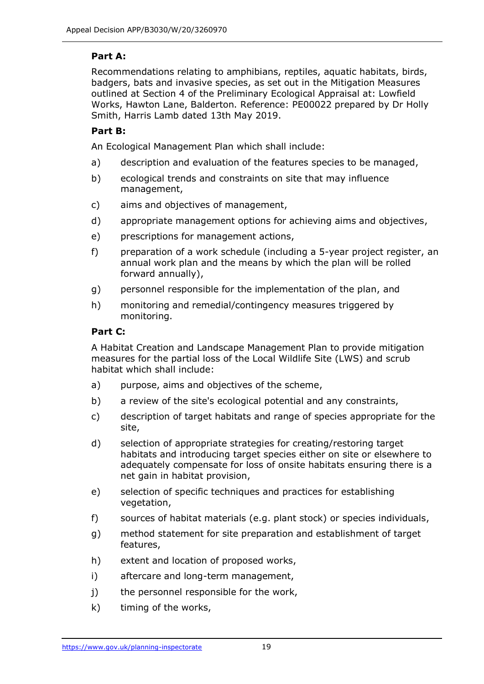# **Part A:**

Recommendations relating to amphibians, reptiles, aquatic habitats, birds, badgers, bats and invasive species, as set out in the Mitigation Measures outlined at Section 4 of the Preliminary Ecological Appraisal at: Lowfield Works, Hawton Lane, Balderton. Reference: PE00022 prepared by Dr Holly Smith, Harris Lamb dated 13th May 2019.

#### **Part B:**

An Ecological Management Plan which shall include:

- a) description and evaluation of the features species to be managed,
- b) ecological trends and constraints on site that may influence management,
- c) aims and objectives of management,
- d) appropriate management options for achieving aims and objectives,
- e) prescriptions for management actions,
- f) preparation of a work schedule (including a 5-year project register, an annual work plan and the means by which the plan will be rolled forward annually),
- g) personnel responsible for the implementation of the plan, and
- h) monitoring and remedial/contingency measures triggered by monitoring.

#### **Part C:**

A Habitat Creation and Landscape Management Plan to provide mitigation measures for the partial loss of the Local Wildlife Site (LWS) and scrub habitat which shall include:

- a) purpose, aims and objectives of the scheme,
- b) a review of the site's ecological potential and any constraints,
- c) description of target habitats and range of species appropriate for the site,
- d) selection of appropriate strategies for creating/restoring target habitats and introducing target species either on site or elsewhere to adequately compensate for loss of onsite habitats ensuring there is a net gain in habitat provision,
- e) selection of specific techniques and practices for establishing vegetation,
- f) sources of habitat materials (e.g. plant stock) or species individuals,
- g) method statement for site preparation and establishment of target features,
- h) extent and location of proposed works,
- i) aftercare and long-term management,
- j) the personnel responsible for the work,
- k) timing of the works,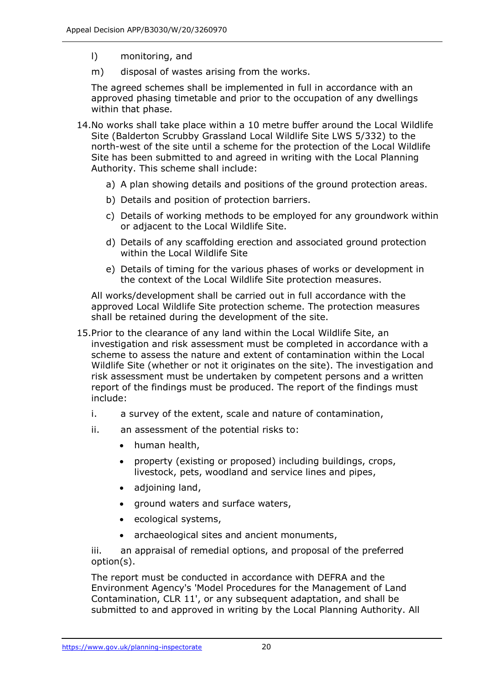- l) monitoring, and
- m) disposal of wastes arising from the works.

The agreed schemes shall be implemented in full in accordance with an approved phasing timetable and prior to the occupation of any dwellings within that phase.

- 14.No works shall take place within a 10 metre buffer around the Local Wildlife Site (Balderton Scrubby Grassland Local Wildlife Site LWS 5/332) to the north-west of the site until a scheme for the protection of the Local Wildlife Site has been submitted to and agreed in writing with the Local Planning Authority. This scheme shall include:
	- a) A plan showing details and positions of the ground protection areas.
	- b) Details and position of protection barriers.
	- c) Details of working methods to be employed for any groundwork within or adjacent to the Local Wildlife Site.
	- d) Details of any scaffolding erection and associated ground protection within the Local Wildlife Site
	- e) Details of timing for the various phases of works or development in the context of the Local Wildlife Site protection measures.

All works/development shall be carried out in full accordance with the approved Local Wildlife Site protection scheme. The protection measures shall be retained during the development of the site.

- 15.Prior to the clearance of any land within the Local Wildlife Site, an investigation and risk assessment must be completed in accordance with a scheme to assess the nature and extent of contamination within the Local Wildlife Site (whether or not it originates on the site). The investigation and risk assessment must be undertaken by competent persons and a written report of the findings must be produced. The report of the findings must include:
	- i. a survey of the extent, scale and nature of contamination,
	- ii. an assessment of the potential risks to:
		- human health,
		- property (existing or proposed) including buildings, crops, livestock, pets, woodland and service lines and pipes,
		- adjoining land,
		- ground waters and surface waters,
		- ecological systems,
		- archaeological sites and ancient monuments,

iii. an appraisal of remedial options, and proposal of the preferred option(s).

The report must be conducted in accordance with DEFRA and the Environment Agency's 'Model Procedures for the Management of Land Contamination, CLR 11', or any subsequent adaptation, and shall be submitted to and approved in writing by the Local Planning Authority. All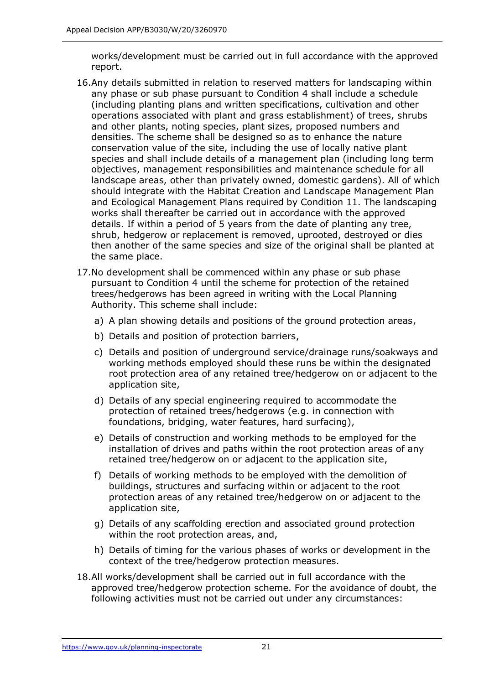works/development must be carried out in full accordance with the approved report.

- 16.Any details submitted in relation to reserved matters for landscaping within any phase or sub phase pursuant to Condition 4 shall include a schedule (including planting plans and written specifications, cultivation and other operations associated with plant and grass establishment) of trees, shrubs and other plants, noting species, plant sizes, proposed numbers and densities. The scheme shall be designed so as to enhance the nature conservation value of the site, including the use of locally native plant species and shall include details of a management plan (including long term objectives, management responsibilities and maintenance schedule for all landscape areas, other than privately owned, domestic gardens). All of which should integrate with the Habitat Creation and Landscape Management Plan and Ecological Management Plans required by Condition 11. The landscaping works shall thereafter be carried out in accordance with the approved details. If within a period of 5 years from the date of planting any tree, shrub, hedgerow or replacement is removed, uprooted, destroyed or dies then another of the same species and size of the original shall be planted at the same place.
- 17.No development shall be commenced within any phase or sub phase pursuant to Condition 4 until the scheme for protection of the retained trees/hedgerows has been agreed in writing with the Local Planning Authority. This scheme shall include:
	- a) A plan showing details and positions of the ground protection areas,
	- b) Details and position of protection barriers,
	- c) Details and position of underground service/drainage runs/soakways and working methods employed should these runs be within the designated root protection area of any retained tree/hedgerow on or adjacent to the application site,
	- d) Details of any special engineering required to accommodate the protection of retained trees/hedgerows (e.g. in connection with foundations, bridging, water features, hard surfacing),
	- e) Details of construction and working methods to be employed for the installation of drives and paths within the root protection areas of any retained tree/hedgerow on or adjacent to the application site,
	- f) Details of working methods to be employed with the demolition of buildings, structures and surfacing within or adjacent to the root protection areas of any retained tree/hedgerow on or adjacent to the application site,
	- g) Details of any scaffolding erection and associated ground protection within the root protection areas, and,
	- h) Details of timing for the various phases of works or development in the context of the tree/hedgerow protection measures.
- 18.All works/development shall be carried out in full accordance with the approved tree/hedgerow protection scheme. For the avoidance of doubt, the following activities must not be carried out under any circumstances: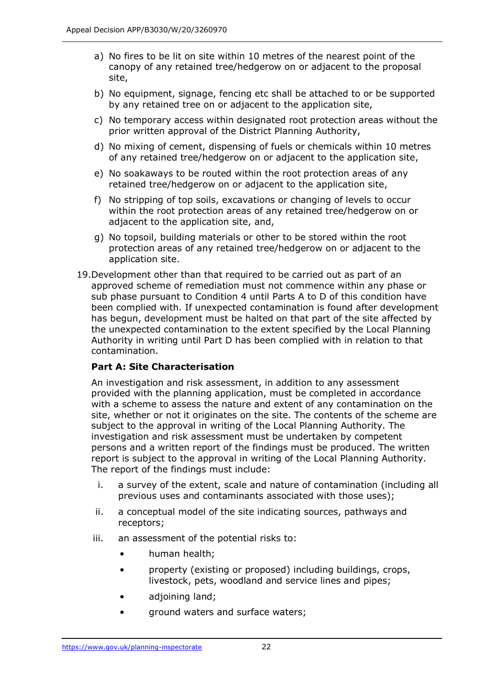- a) No fires to be lit on site within 10 metres of the nearest point of the canopy of any retained tree/hedgerow on or adjacent to the proposal site,
- b) No equipment, signage, fencing etc shall be attached to or be supported by any retained tree on or adjacent to the application site,
- c) No temporary access within designated root protection areas without the prior written approval of the District Planning Authority,
- d) No mixing of cement, dispensing of fuels or chemicals within 10 metres of any retained tree/hedgerow on or adjacent to the application site,
- e) No soakaways to be routed within the root protection areas of any retained tree/hedgerow on or adjacent to the application site,
- f) No stripping of top soils, excavations or changing of levels to occur within the root protection areas of any retained tree/hedgerow on or adjacent to the application site, and,
- g) No topsoil, building materials or other to be stored within the root protection areas of any retained tree/hedgerow on or adjacent to the application site.
- 19.Development other than that required to be carried out as part of an approved scheme of remediation must not commence within any phase or sub phase pursuant to Condition 4 until Parts A to D of this condition have been complied with. If unexpected contamination is found after development has begun, development must be halted on that part of the site affected by the unexpected contamination to the extent specified by the Local Planning Authority in writing until Part D has been complied with in relation to that contamination.

# **Part A: Site Characterisation**

An investigation and risk assessment, in addition to any assessment provided with the planning application, must be completed in accordance with a scheme to assess the nature and extent of any contamination on the site, whether or not it originates on the site. The contents of the scheme are subject to the approval in writing of the Local Planning Authority. The investigation and risk assessment must be undertaken by competent persons and a written report of the findings must be produced. The written report is subject to the approval in writing of the Local Planning Authority. The report of the findings must include:

- i. a survey of the extent, scale and nature of contamination (including all previous uses and contaminants associated with those uses);
- ii. a conceptual model of the site indicating sources, pathways and receptors;
- iii. an assessment of the potential risks to:
	- human health;
	- property (existing or proposed) including buildings, crops, livestock, pets, woodland and service lines and pipes;
	- adjoining land;
	- ground waters and surface waters;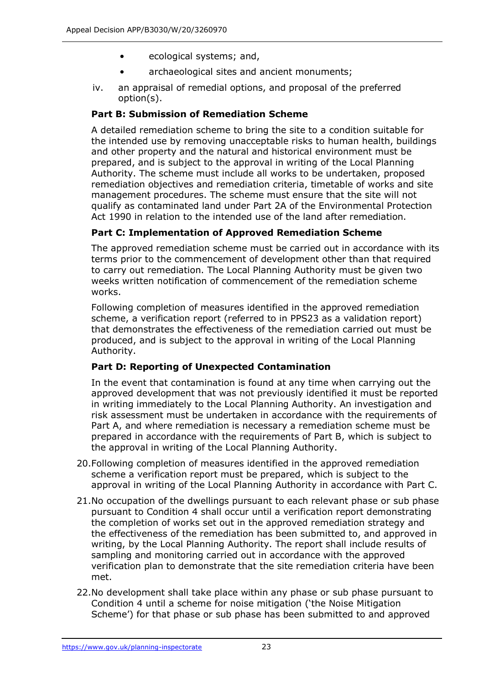- ecological systems; and,
- archaeological sites and ancient monuments;
- iv. an appraisal of remedial options, and proposal of the preferred option(s).

#### **Part B: Submission of Remediation Scheme**

A detailed remediation scheme to bring the site to a condition suitable for the intended use by removing unacceptable risks to human health, buildings and other property and the natural and historical environment must be prepared, and is subject to the approval in writing of the Local Planning Authority. The scheme must include all works to be undertaken, proposed remediation objectives and remediation criteria, timetable of works and site management procedures. The scheme must ensure that the site will not qualify as contaminated land under Part 2A of the Environmental Protection Act 1990 in relation to the intended use of the land after remediation.

# **Part C: Implementation of Approved Remediation Scheme**

The approved remediation scheme must be carried out in accordance with its terms prior to the commencement of development other than that required to carry out remediation. The Local Planning Authority must be given two weeks written notification of commencement of the remediation scheme works.

Following completion of measures identified in the approved remediation scheme, a verification report (referred to in PPS23 as a validation report) that demonstrates the effectiveness of the remediation carried out must be produced, and is subject to the approval in writing of the Local Planning Authority.

# **Part D: Reporting of Unexpected Contamination**

In the event that contamination is found at any time when carrying out the approved development that was not previously identified it must be reported in writing immediately to the Local Planning Authority. An investigation and risk assessment must be undertaken in accordance with the requirements of Part A, and where remediation is necessary a remediation scheme must be prepared in accordance with the requirements of Part B, which is subject to the approval in writing of the Local Planning Authority.

- 20.Following completion of measures identified in the approved remediation scheme a verification report must be prepared, which is subject to the approval in writing of the Local Planning Authority in accordance with Part C.
- 21.No occupation of the dwellings pursuant to each relevant phase or sub phase pursuant to Condition 4 shall occur until a verification report demonstrating the completion of works set out in the approved remediation strategy and the effectiveness of the remediation has been submitted to, and approved in writing, by the Local Planning Authority. The report shall include results of sampling and monitoring carried out in accordance with the approved verification plan to demonstrate that the site remediation criteria have been met.
- 22.No development shall take place within any phase or sub phase pursuant to Condition 4 until a scheme for noise mitigation ('the Noise Mitigation Scheme') for that phase or sub phase has been submitted to and approved